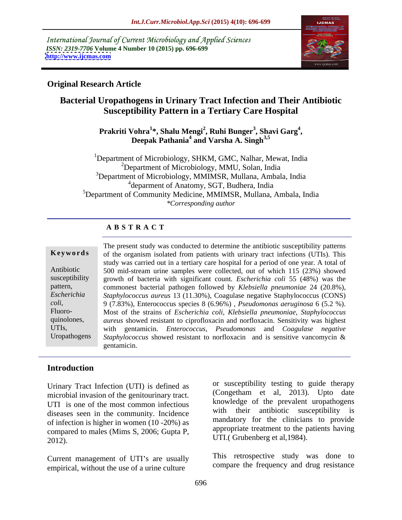International Journal of Current Microbiology and Applied Sciences *ISSN: 2319-7706* **Volume 4 Number 10 (2015) pp. 696-699 <http://www.ijcmas.com>**



## **Original Research Article**

# **Bacterial Uropathogens in Urinary Tract Infection and Their Antibiotic Susceptibility Pattern in a Tertiary Care Hospital**

**Prakriti Vohra<sup>1</sup> \*, Shalu Mengi<sup>2</sup> , Ruhi Bunger<sup>3</sup> , Shavi Garg<sup>4</sup>** Deepak Pathania<sup>4</sup> and Varsha A. Singh<sup>3,5</sup> **and Varsha A. Singh3,5**

<sup>1</sup>Department of Microbiology, SHKM, GMC, Nalhar, Mewat, India 2Department of Microbiology, MMU, Solan, India <sup>3</sup>Department of Microbiology, MMIMSR, Mullana, Ambala, India <sup>4</sup> deparment of Anatomy, SGT, Budhera, India <sup>5</sup>Department of Community Medicine, MMIMSR, Mullana, Ambala, India *\*Corresponding author*

# **A B S T R A C T**

Uropathogens

The present study was conducted to determine the antibiotic susceptibility patterns **Keywords** of the organism isolated from patients with urinary tract infections (UTIs). This study was carried out in a tertiary care hospital for a period of one year. A total of 500 mid-stream urine samples were collected, out of which 115 (23%) showed Antibiotic susceptibility growth of bacteria with significant count. *Escherichia coli* 55 (48%) was the pattern, commonest bacterial pathogen followed by *Klebsiella pneumoniae* 24 (20.8%), *Staphylococcus aureus* 13 (11.30%), Coagulase negative Staphylococcus (CONS) *Escherichia*  9 (7.83%), Enterococcus species 8 (6.96%) , *Pseudomonas aeruginosa* 6 (5.2 %). *coli*, Fluoro- Most of the strains of *Escherichia coli, Klebsiella pneumoniae, Staphylococcus* quinolones, *aureus* showed resistant to ciprofloxacin and norfloxacin. Sensitivity was highest with gentamicin. *Enterococcus, Pseudomonas* and *Coagulase negative* UTIs, *Staphylococcus* showed resistant to norfloxacin and is sensitive vancomycin & gentamicin.

## **Introduction**

Urinary Tract Infection (UTI) is defined as microbial invasion of the genitourinary tract. UTI is one of the most common infectious diseases seen in the community. Incidence of infection is higher in women (10 -20%) as compared to males (Mims S, 2006; Gupta P,  $UTI.$  (Grubenberg et al, 1984).

Current management of UTI's are usually empirical, without the use of a urine culture

or susceptibility testing to guide therapy (Congetham et al, 2013). Upto date knowledge of the prevalent uropathogens with their antibiotic susceptibility is mandatory for the clinicians to provide appropriate treatment to the patients having

This retrospective study was done to compare the frequency and drug resistance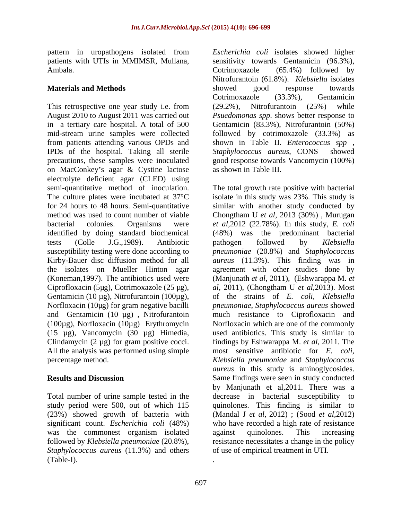Ambala.

This retrospective one year study i.e. from (29.2%), Nitrofurantoin (25%) while August 2010 to August 2011 was carried out *Psuedomonas spp*. shows better response to in a tertiary care hospital. A total of 500 Gentamicin (83.3%), Nitrofurantoin (50%) mid-stream urine samples were collected from patients attending various OPDs and IPDs of the hospital. Taking all sterile Staphylococcus aureus, CONS showed precautions, these samples were inoculated good response towards Vancomycin (100%) on MacConkey's agar & Cystine lactose electrolyte deficient agar (CLED) using susceptibility testing were done according to Gentamicin (10 µg), Nitrofurantoin (100µg), (100µg), Norfloxacin (10µg) Erythromycin (15 µg), Vancomycin (30 µg) Himedia, Clindamycin  $(2 \mu g)$  for gram positive cocci. All the analysis was performed using simple

was the commonest organism isolated against quinolones. This increasing *Staphylococcus aureus* (11.3%) and others (Table-I).

pattern in uropathogens isolated from *Escherichia coli* isolates showed higher patients with UTIs in MMIMSR, Mullana, sensitivity towards Gentamicin (96.3%), **Materials and Methods Showed Example 2006 Example 2006 Example 2006 Example 2006 CONDUCT: CONDUCT: CONDUCT: CONDUCT: CONDUCT: CONDUCT: CONDUCT: CONDUCT: CONDUCT: CONDUCT: CONDUCT: CONDUCT** Cotrimoxazole (65.4%) followed by Nitrofurantoin (61.8%). *Klebsiella* isolates showed good response towards Cotrimoxazole (33.3%), Gentamicin (29.2%), Nitrofurantoin (25%) while followed by cotrimoxazole (33.3%) as shown in Table II. *Enterococcus spp* , *Staphylococcus aureus*, CONS as shown in Table III.

semi-quantitative method of inoculation. The total growth rate positive with bacterial The culture plates were incubated at 37<sup>o</sup>C isolate in this study was 23%. This study is for 24 hours to 48 hours. Semi-quantitative similar with another study conducted by method was used to count number of viable Chongtham U *et al*, 2013 (30%) , Murugan bacterial colonies. Organisms were *et al*,2012 (22.78%). In this study, *E. coli* identified by doing standard biochemical (48%) was the predominant bacterial tests (Colle J.G.,1989). Antibiotic pathogen followed by Klebsiella Kirby-Bauer disc diffusion method for all *aureus* (11.3%). This finding was in the isolates on Mueller Hinton agar agreement with other studies done by (Koneman,1997). The antibiotics used were (Manjunath *et al*, 2011), (Eshwarappa M. *et*  Ciprofloxacin (5µg), Cotrimoxazole (25 µg), *al*, 2011), (Chongtham U *et al*,2013). Most Norfloxacin (10µg) for gram negative bacilli *pneumoniae*, *Staphylococcus aureus* showed and Gentamicin (10 µg) , Nitrofurantoin much resistance to Ciprofloxacin and percentage method. *Klebsiella pneumoniae* and *Staphylococcus*  **Results and Discussion** Same findings were seen in study conducted Total number of urine sample tested in the decrease in bacterial susceptibility to study period were 500, out of which 115 quinolones. This finding is similar to (23%) showed growth of bacteria with (Mandal J *et al*, 2012) ; (Sood *et al*,2012) significant count. *Escherichia coli* (48%) who have recorded a high rate of resistance followed by *Klebsiella pneumoniae* (20.8%), resistance necessitates a change in the policy pathogen followed by *Klebsiella pneumoniae* (20.8%) and *Staphylococcus*  of the strains of *E. coli*, *Klebsiella*  Norfloxacin which are one of the commonly used antibiotics. This study is similar to findings by Eshwarappa M. *et al*, 2011. The most sensitive antibiotic for *E. coli*, *aureus* in this study is aminoglycosides. by Manjunath et al,2011. There was a against quinolones. This increasing of use of empirical treatment in UTI.

.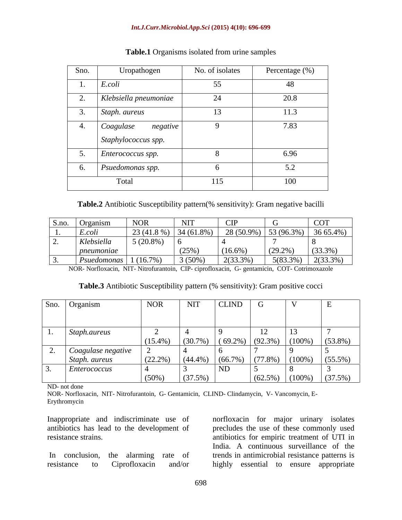### *Int.J.Curr.Microbiol.App.Sci* **(2015) 4(10): 696-699**

| Sno.            | Uropathogen           | No. of isolates | Percentage (%) |
|-----------------|-----------------------|-----------------|----------------|
| $\mathbf{I}$    | E.coli                | 55              | 48             |
| ∠.              | Klebsiella pneumoniae | 24              | 20.8           |
| $\mathcal{L}$ . | Staph. aureus         | 13              | 11.3           |
| <sup>4.</sup>   | Coagulase<br>negative | Q               | 7.83           |
|                 | Staphylococcus spp.   |                 |                |
| $J_{\bullet}$   | Enterococcus spp.     |                 | 6.96           |
| $\sigma$ .      | Psuedomonas spp.      | n               | 5.2            |
|                 | Total                 | 115             | 100            |

### **Table.1** Organisms isolated from urine samples

**Table.2** Antibiotic Susceptibility pattern(% sensitivity): Gram negative bacilli

| S.no. Organism                      | NOR          | NIT        | - UI                                                 |            | <b>COT</b>           |
|-------------------------------------|--------------|------------|------------------------------------------------------|------------|----------------------|
| $E.$ coli                           | $23(41.8\%)$ | 34 (61.8%) | $\left  \right $ 28 (50.9%)   53 (96.3%)   36 65.4%) |            |                      |
| Klebsiella                          | $5(20.8\%)$  |            |                                                      |            |                      |
| pneumoniae                          |              | (25%       | (16.6%                                               | $(29.2\%)$ | $(33.3\%)$           |
| $\mid$ Psuedomonas $\mid$ 1 (16.7%) |              | $3(50\%)$  | $2(33.3\%)$                                          |            | $5(83.3\%)$ 2(33.3%) |

NOR- Norfloxacin, NIT- Nitrofurantoin, CIP- ciprofloxacin, G- gentamicin, COT- Cotrimoxazole

| Table.3<br>.<br>nattern U<br>. Antibiotic Susceptibility $^\star$<br>Gram positive cocci<br>sensitivity): |  |
|-----------------------------------------------------------------------------------------------------------|--|
|                                                                                                           |  |

| Sno. Organism         | <b>NOR</b> | <b>NIT</b> | <b>CLIND</b>                                          | U          |                      | ட          |
|-----------------------|------------|------------|-------------------------------------------------------|------------|----------------------|------------|
|                       |            |            |                                                       |            |                      |            |
|                       |            |            |                                                       |            |                      |            |
| 1. Staph.aureus       |            |            |                                                       |            | 13                   |            |
|                       | $(15.4\%)$ |            | $(30.7\%)$ $(69.2\%)$ $(92.3\%)$ $(100\%)$ $(53.8\%)$ |            |                      |            |
| 2. Coagulase negative |            |            |                                                       |            |                      |            |
| Staph. aureus         | $(22.2\%)$ |            | $(44.4\%)$ $(66.7\%)$ $(77.8\%)$                      |            | $(100\%)$            | $(55.5\%)$ |
| Enterococcus          |            |            | ND                                                    |            |                      |            |
|                       | $(50\%$    | (37.5%)    |                                                       | $(62.5\%)$ | $(100\%)$ $(37.5\%)$ |            |

ND- not done

NOR- Norfloxacin, NIT- Nitrofurantoin, G- Gentamicin, CLIND- Clindamycin, V- Vancomycin, E- Erythromycin

Inappropriate and indiscriminate use of norfloxacin for major urinary isolates antibiotics has lead to the development of precludes the use of these commonly used resistance strains. antibiotics for empiric treatment of UTI in In conclusion, the alarming rate of trends in antimicrobial resistance patterns is resistance to Ciprofloxacin and/or highly essential to ensure appropriateIndia. A continuous surveillance of the